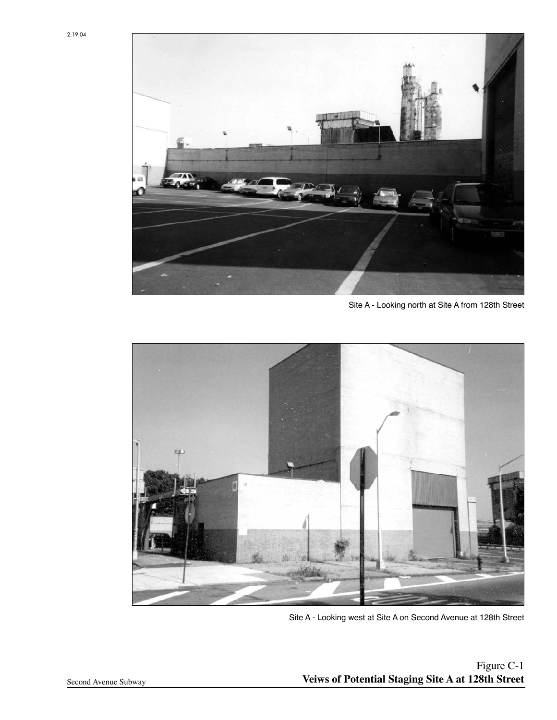

Site A - Looking north at Site A from 128th Street



Site A - Looking west at Site A on Second Avenue at 128th Street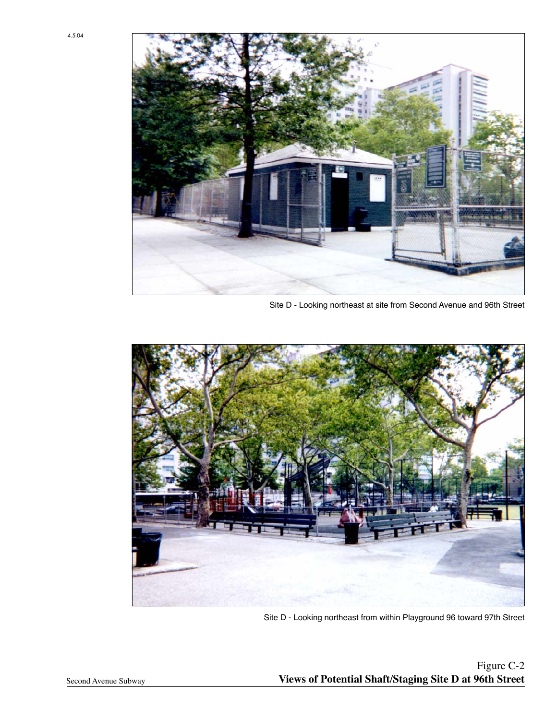

Site D - Looking northeast at site from Second Avenue and 96th Street



Site D - Looking northeast from within Playground 96 toward 97th Street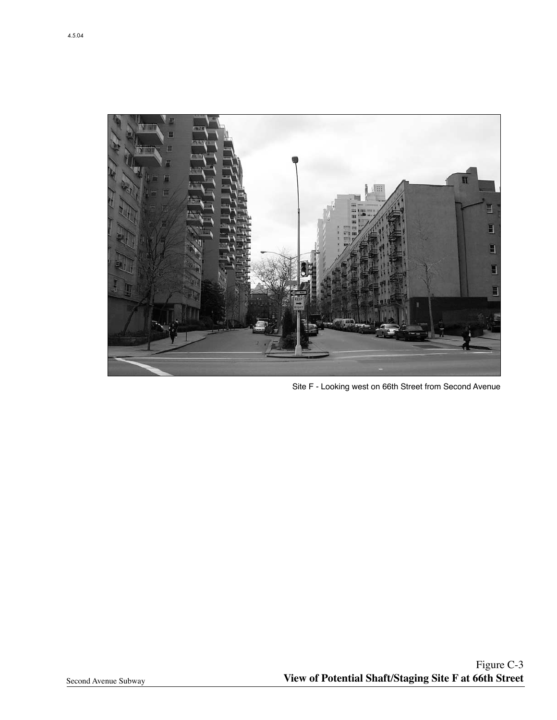

Site F - Looking west on 66th Street from Second Avenue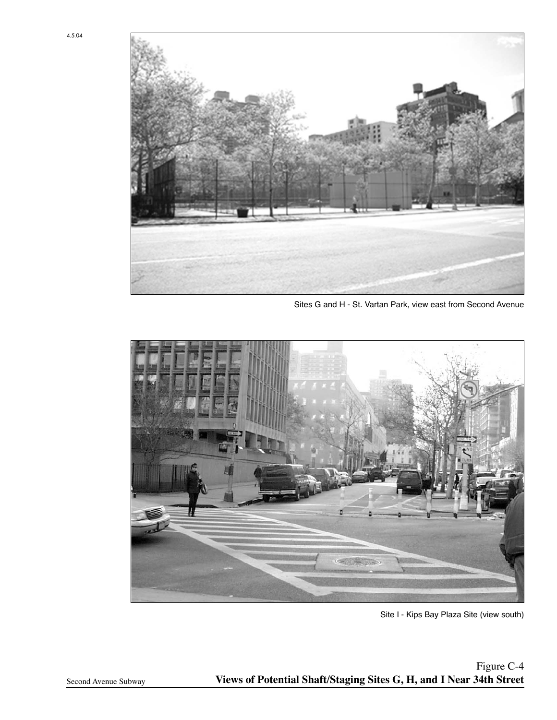

Sites G and H - St. Vartan Park, view east from Second Avenue



Site I - Kips Bay Plaza Site (view south)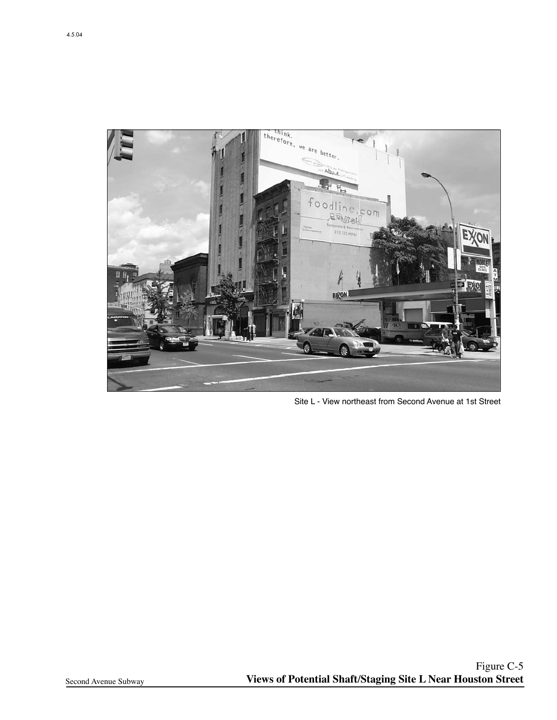

Site L - View northeast from Second Avenue at 1st Street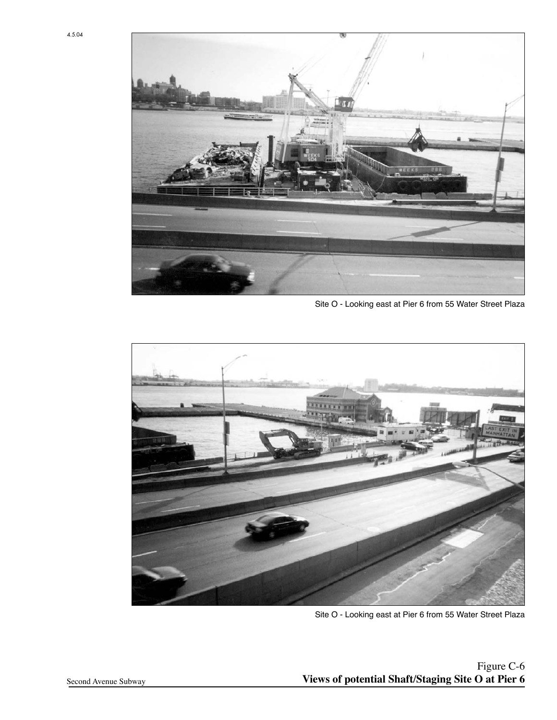

Site O - Looking east at Pier 6 from 55 Water Street Plaza



Site O - Looking east at Pier 6 from 55 Water Street Plaza